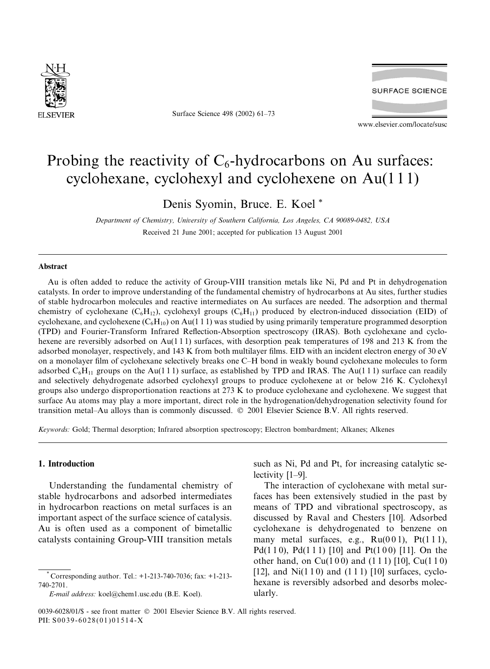

Surface Science 498 (2002) 61–73



www.elsevier.com/locate/susc

# Probing the reactivity of  $C_6$ -hydrocarbons on Au surfaces: cyclohexane, cyclohexyl and cyclohexene on Au(1 1 1)

Denis Syomin, Bruce. E. Koel \*

Department of Chemistry, University of Southern California, Los Angeles, CA 90089-0482, USA Received 21 June 2001; accepted for publication 13 August 2001

#### Abstract

Au is often added to reduce the activity of Group-VIII transition metals like Ni, Pd and Pt in dehydrogenation catalysts. In order to improve understanding of the fundamental chemistry of hydrocarbons at Au sites, further studies of stable hydrocarbon molecules and reactive intermediates on Au surfaces are needed. The adsorption and thermal chemistry of cyclohexane ( $C_6H_{12}$ ), cyclohexyl groups ( $C_6H_{11}$ ) produced by electron-induced dissociation (EID) of cyclohexane, and cyclohexene  $(C_6H_{10})$  on Au(1 1 1) was studied by using primarily temperature programmed desorption (TPD) and Fourier-TransformInfrared Reflection-Absorption spectroscopy (IRAS). Both cyclohexane and cyclohexene are reversibly adsorbed on Au(111) surfaces, with desorption peak temperatures of 198 and 213 K from the adsorbed monolayer, respectively, and 143 K from both multilayer films. EID with an incident electron energy of 30 eV on a monolayer film of cyclohexane selectively breaks one C–H bond in weakly bound cyclohexane molecules to form adsorbed  $C_6H_{11}$  groups on the Au(1 1 1) surface, as established by TPD and IRAS. The Au(1 1 1) surface can readily and selectively dehydrogenate adsorbed cyclohexyl groups to produce cyclohexene at or below 216 K. Cyclohexyl groups also undergo disproportionation reactions at 273 K to produce cyclohexane and cyclohexene. We suggest that surface Au atoms may play a more important, direct role in the hydrogenation/dehydrogenation selectivity found for transition metal–Au alloys than is commonly discussed.  $\odot$  2001 Elsevier Science B.V. All rights reserved.

Keywords: Gold; Thermal desorption; Infrared absorption spectroscopy; Electron bombardment; Alkanes; Alkenes

# 1. Introduction

Understanding the fundamental chemistry of stable hydrocarbons and adsorbed intermediates in hydrocarbon reactions on metal surfaces is an important aspect of the surface science of catalysis. Au is often used as a component of bimetallic catalysts containing Group-VIII transition metals

such as Ni, Pd and Pt, for increasing catalytic selectivity [1–9].

The interaction of cyclohexane with metal surfaces has been extensively studied in the past by means of TPD and vibrational spectroscopy, as discussed by Raval and Chesters [10]. Adsorbed cyclohexane is dehydrogenated to benzene on many metal surfaces, e.g.,  $Ru(001)$ ,  $Pt(111)$ , Pd(110), Pd(111) [10] and Pt(100) [11]. On the other hand, on  $Cu(100)$  and  $(111)$  [10],  $Cu(110)$ [12], and  $Ni(110)$  and  $(111)$  [10] surfaces, cyclohexane is reversibly adsorbed and desorbs molecularly.

<sup>\*</sup> Corresponding author. Tel.: +1-213-740-7036; fax: +1-213- 740-2701.

E-mail address: koel@chem1.usc.edu (B.E. Koel).

<sup>0039-6028/01/\$ -</sup> see front matter  $\odot$  2001 Elsevier Science B.V. All rights reserved. PII: S0039-6028(01)01514-X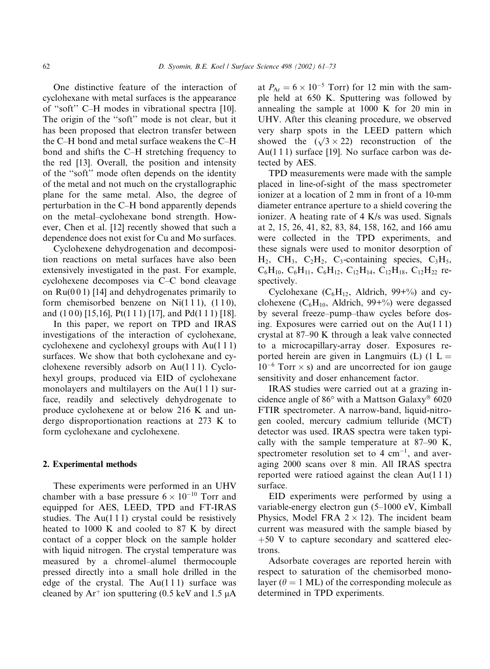One distinctive feature of the interaction of cyclohexane with metal surfaces is the appearance of ''soft'' C–H modes in vibrational spectra [10]. The origin of the ''soft'' mode is not clear, but it has been proposed that electron transfer between the C–H bond and metal surface weakens the C–H bond and shifts the C–H stretching frequency to the red [13]. Overall, the position and intensity of the ''soft'' mode often depends on the identity of the metal and not much on the crystallographic plane for the same metal. Also, the degree of perturbation in the C–H bond apparently depends on the metal–cyclohexane bond strength. However, Chen et al. [12] recently showed that such a dependence does not exist for Cu and Mo surfaces.

Cyclohexene dehydrogenation and decomposition reactions on metal surfaces have also been extensively investigated in the past. For example, cyclohexene decomposes via C–C bond cleavage on  $Ru(0\ 0\ 1)$  [14] and dehydrogenates primarily to form chemisorbed benzene on Ni $(1 1 1)$ ,  $(1 1 0)$ , and  $(1 0 0)$  [15,16], Pt $(1 1 1)$  [17], and Pd $(1 1 1)$  [18].

In this paper, we report on TPD and IRAS investigations of the interaction of cyclohexane, cyclohexene and cyclohexyl groups with Au(1 1 1) surfaces. We show that both cyclohexane and cyclohexene reversibly adsorb on Au(1 1 1). Cyclohexyl groups, produced via EID of cyclohexane monolayers and multilayers on the  $Au(111)$  surface, readily and selectively dehydrogenate to produce cyclohexene at or below 216 K and undergo disproportionation reactions at 273 K to form cyclohexane and cyclohexene.

## 2. Experimental methods

These experiments were performed in an UHV chamber with a base pressure  $6 \times 10^{-10}$  Torr and equipped for AES, LEED, TPD and FT-IRAS studies. The  $Au(111)$  crystal could be resistively heated to 1000 K and cooled to 87 K by direct contact of a copper block on the sample holder with liquid nitrogen. The crystal temperature was measured by a chromel–alumel thermocouple pressed directly into a small hole drilled in the edge of the crystal. The  $Au(111)$  surface was cleaned by  $Ar^+$  ion sputtering (0.5 keV and 1.5  $\mu$ A

at  $P_{Ar} = 6 \times 10^{-5}$  Torr) for 12 min with the sample held at 650 K. Sputtering was followed by annealing the sample at 1000 K for 20 min in UHV. After this cleaning procedure, we observed very sharp spots in the LEED pattern which showed the  $(\sqrt{3} \times 22)$  reconstruction of the Au(111) surface [19]. No surface carbon was detected by AES.

TPD measurements were made with the sample placed in line-of-sight of the mass spectrometer ionizer at a location of 2 mm in front of a 10-mm diameter entrance aperture to a shield covering the ionizer. A heating rate of 4 K/s was used. Signals at 2, 15, 26, 41, 82, 83, 84, 158, 162, and 166 amu were collected in the TPD experiments, and these signals were used to monitor desorption of  $H_2$ , CH<sub>3</sub>, C<sub>2</sub>H<sub>2</sub>, C<sub>3</sub>-containing species, C<sub>3</sub>H<sub>5</sub>,  $C_6H_{10}$ ,  $C_6H_{11}$ ,  $C_6H_{12}$ ,  $C_{12}H_{14}$ ,  $C_{12}H_{18}$ ,  $C_{12}H_{22}$  respectively.

Cyclohexane ( $C_6H_{12}$ , Aldrich,  $99+%$ ) and cyclohexene ( $C_6H_{10}$ , Aldrich, 99+%) were degassed by several freeze–pump–thaw cycles before dosing. Exposures were carried out on the Au(1 1 1) crystal at 87–90 K through a leak valve connected to a microcapillary-array doser. Exposures reported herein are given in Langmuirs (L)  $(1 L =$  $10^{-6}$  Torr  $\times$  s) and are uncorrected for ion gauge sensitivity and doser enhancement factor.

IRAS studies were carried out at a grazing incidence angle of  $86^{\circ}$  with a Mattson Galaxy® 6020 FTIR spectrometer. A narrow-band, liquid-nitrogen cooled, mercury cadmium telluride (MCT) detector was used. IRAS spectra were taken typically with the sample temperature at 87–90 K, spectrometer resolution set to  $4 \text{ cm}^{-1}$ , and averaging 2000 scans over 8 min. All IRAS spectra reported were ratioed against the clean Au(1 1 1) surface.

EID experiments were performed by using a variable-energy electron gun (5–1000 eV, Kimball Physics, Model FRA  $2 \times 12$ ). The incident beam current was measured with the sample biased by  $+50$  V to capture secondary and scattered electrons.

Adsorbate coverages are reported herein with respect to saturation of the chemisorbed monolayer ( $\theta = 1$  ML) of the corresponding molecule as determined in TPD experiments.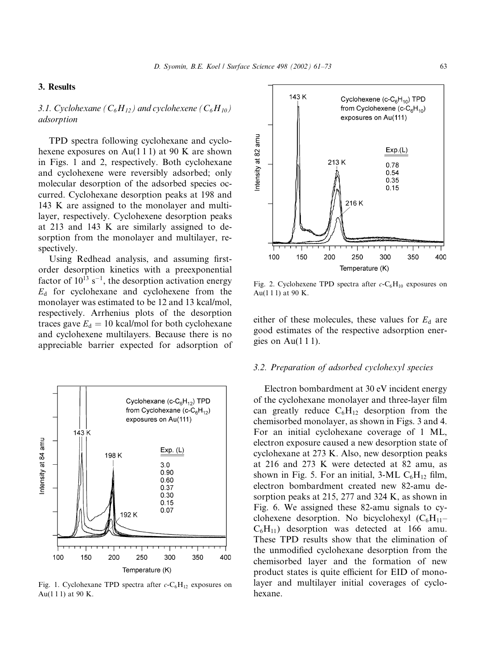## 3. Results

## 3.1. Cyclohexane ( $C_6H_{12}$ ) and cyclohexene ( $C_6H_{10}$ ) adsorption

TPD spectra following cyclohexane and cyclohexene exposures on Au(111) at 90 K are shown in Figs. 1 and 2, respectively. Both cyclohexane and cyclohexene were reversibly adsorbed; only molecular desorption of the adsorbed species occurred. Cyclohexane desorption peaks at 198 and 143 K are assigned to the monolayer and multilayer, respectively. Cyclohexene desorption peaks at 213 and 143 K are similarly assigned to desorption from the monolayer and multilayer, respectively.

Using Redhead analysis, and assuming firstorder desorption kinetics with a preexponential factor of  $10^{13}$  s<sup>-1</sup>, the desorption activation energy  $E<sub>d</sub>$  for cyclohexane and cyclohexene from the monolayer was estimated to be 12 and 13 kcal/mol, respectively. Arrhenius plots of the desorption traces gave  $E_d = 10$  kcal/mol for both cyclohexane and cyclohexene multilayers. Because there is no appreciable barrier expected for adsorption of



Fig. 1. Cyclohexane TPD spectra after  $c$ -C<sub>6</sub>H<sub>12</sub> exposures on Au(1 1 1) at 90 K.



Fig. 2. Cyclohexene TPD spectra after  $c$ -C<sub>6</sub>H<sub>10</sub> exposures on Au $(1 1 1)$  at 90 K.

either of these molecules, these values for  $E<sub>d</sub>$  are good estimates of the respective adsorption energies on Au $(1 1 1)$ .

#### 3.2. Preparation of adsorbed cyclohexyl species

Electron bombardment at 30 eV incident energy of the cyclohexane monolayer and three-layer film can greatly reduce  $C_6H_{12}$  desorption from the chemisorbed monolayer, as shown in Figs. 3 and 4. For an initial cyclohexane coverage of 1 ML, electron exposure caused a new desorption state of cyclohexane at 273 K. Also, new desorption peaks at 216 and 273 K were detected at 82 amu, as shown in Fig. 5. For an initial, 3-ML  $C_6H_{12}$  film, electron bombardment created new 82-amu desorption peaks at 215, 277 and 324 K, as shown in Fig. 6. We assigned these 82-amu signals to cyclohexene desorption. No bicyclohexyl  $(C_6H_{11}$ –  $C_6H_{11}$ ) desorption was detected at 166 amu. These TPD results show that the elimination of the unmodified cyclohexane desorption from the chemisorbed layer and the formation of new product states is quite efficient for EID of monolayer and multilayer initial coverages of cyclohexane.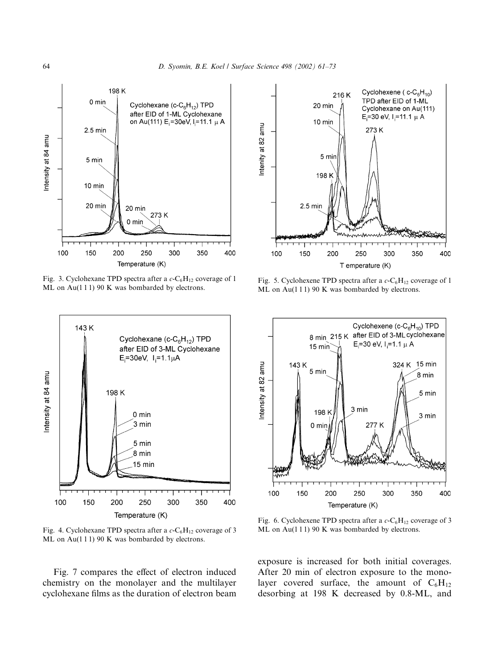

Fig. 3. Cyclohexane TPD spectra after a  $c$ -C<sub>6</sub>H<sub>12</sub> coverage of 1 ML on Au(111) 90 K was bombarded by electrons.



Fig. 4. Cyclohexane TPD spectra after a  $c$ -C<sub>6</sub>H<sub>12</sub> coverage of 3 ML on Au(111) 90 K was bombarded by electrons.

Fig. 7 compares the effect of electron induced chemistry on the monolayer and the multilayer cyclohexane films as the duration of electron beam



Fig. 5. Cyclohexene TPD spectra after a  $c$ -C<sub>6</sub>H<sub>12</sub> coverage of 1 ML on Au(111) 90 K was bombarded by electrons.



Fig. 6. Cyclohexene TPD spectra after a  $c$ -C<sub>6</sub>H<sub>12</sub> coverage of 3 ML on Au(111) 90 K was bombarded by electrons.

exposure is increased for both initial coverages. After 20 min of electron exposure to the monolayer covered surface, the amount of  $C_6H_{12}$ desorbing at 198 K decreased by 0.8-ML, and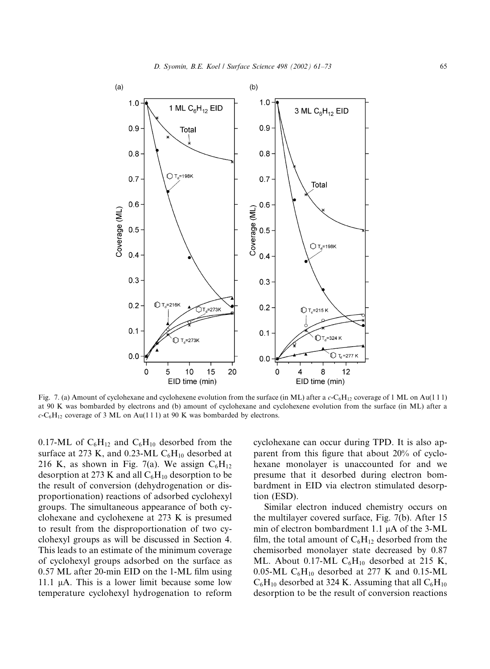

Fig. 7. (a) Amount of cyclohexane and cyclohexene evolution from the surface (in ML) after a  $c$ -C<sub>6</sub>H<sub>12</sub> coverage of 1 ML on Au(111) at 90 K was bombarded by electrons and (b) amount of cyclohexane and cyclohexene evolution from the surface (in ML) after a  $c$ -C<sub>6</sub>H<sub>12</sub> coverage of 3 ML on Au(111) at 90 K was bombarded by electrons.

0.17-ML of  $C_6H_{12}$  and  $C_6H_{10}$  desorbed from the surface at 273 K, and 0.23-ML  $C_6H_{10}$  desorbed at 216 K, as shown in Fig. 7(a). We assign  $C_6H_{12}$ desorption at 273 K and all  $C_6H_{10}$  desorption to be the result of conversion (dehydrogenation or disproportionation) reactions of adsorbed cyclohexyl groups. The simultaneous appearance of both cyclohexane and cyclohexene at 273 K is presumed to result from the disproportionation of two cyclohexyl groups as will be discussed in Section 4. This leads to an estimate of the minimum coverage of cyclohexyl groups adsorbed on the surface as 0.57 ML after 20-min EID on the 1-ML film using 11.1  $\mu$ A. This is a lower limit because some low temperature cyclohexyl hydrogenation to reform

cyclohexane can occur during TPD. It is also apparent from this figure that about  $20\%$  of cyclohexane monolayer is unaccounted for and we presume that it desorbed during electron bombardment in EID via electron stimulated desorption (ESD).

Similar electron induced chemistry occurs on the multilayer covered surface, Fig. 7(b). After 15 min of electron bombardment 1.1  $\mu$ A of the 3-ML film, the total amount of  $C_6H_{12}$  desorbed from the chemisorbed monolayer state decreased by 0.87 ML. About 0.17-ML  $C_6H_{10}$  desorbed at 215 K, 0.05-ML  $C_6H_{10}$  desorbed at 277 K and 0.15-ML  $C_6H_{10}$  desorbed at 324 K. Assuming that all  $C_6H_{10}$ desorption to be the result of conversion reactions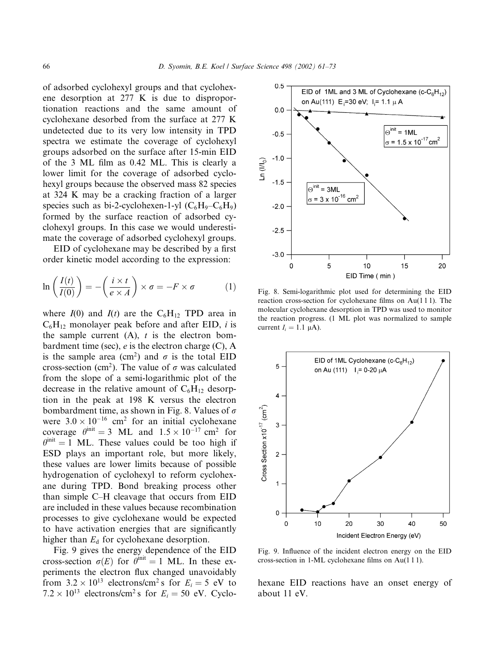of adsorbed cyclohexyl groups and that cyclohexene desorption at 277 K is due to disproportionation reactions and the same amount of cyclohexane desorbed from the surface at 277 K undetected due to its very low intensity in TPD spectra we estimate the coverage of cyclohexyl groups adsorbed on the surface after 15-min EID of the 3 ML filmas 0.42 ML. This is clearly a lower limit for the coverage of adsorbed cyclohexyl groups because the observed mass 82 species at 324 K may be a cracking fraction of a larger species such as bi-2-cyclohexen-1-yl  $(C_6H_9-C_6H_9)$ formed by the surface reaction of adsorbed cyclohexyl groups. In this case we would underestimate the coverage of adsorbed cyclohexyl groups.

EID of cyclohexane may be described by a first order kinetic model according to the expression:

$$
\ln\left(\frac{I(t)}{I(0)}\right) = -\left(\frac{i \times t}{e \times A}\right) \times \sigma = -F \times \sigma \tag{1}
$$

where  $I(0)$  and  $I(t)$  are the C<sub>6</sub>H<sub>12</sub> TPD area in  $C_6H_{12}$  monolayer peak before and after EID, *i* is the sample current  $(A)$ ,  $t$  is the electron bombardment time (sec),  $e$  is the electron charge (C), A is the sample area (cm<sup>2</sup>) and  $\sigma$  is the total EID cross-section (cm<sup>2</sup>). The value of  $\sigma$  was calculated from the slope of a semi-logarithmic plot of the decrease in the relative amount of  $C_6H_{12}$  desorption in the peak at 198 K versus the electron bombardment time, as shown in Fig. 8. Values of  $\sigma$ were  $3.0 \times 10^{-16}$  cm<sup>2</sup> for an initial cyclohexane coverage  $\theta^{\text{init}} = 3$  ML and  $1.5 \times 10^{-17}$  cm<sup>2</sup> for  $\theta^{\text{init}} = 1$  ML. These values could be too high if ESD plays an important role, but more likely, these values are lower limits because of possible hydrogenation of cyclohexyl to reform cyclohexane during TPD. Bond breaking process other than simple C–H cleavage that occurs from EID are included in these values because recombination processes to give cyclohexane would be expected to have activation energies that are significantly higher than  $E_d$  for cyclohexane desorption.

Fig. 9 gives the energy dependence of the EID cross-section  $\sigma(E)$  for  $\theta^{\text{init}} = 1$  ML. In these experiments the electron flux changed unavoidably from  $3.2 \times 10^{13}$  electrons/cm<sup>2</sup> s for  $E_i = 5$  eV to  $7.2 \times 10^{13}$  electrons/cm<sup>2</sup> s for  $E_i = 50$  eV. Cyclo-



Fig. 8. Semi-logarithmic plot used for determining the EID reaction cross-section for cyclohexane films on Au(1 1 1). The molecular cyclohexane desorption in TPD was used to monitor the reaction progress. (1 ML plot was normalized to sample current  $I_i = 1.1 \mu A$ ).



Fig. 9. Influence of the incident electron energy on the EID cross-section in 1-ML cyclohexane films on Au(1 1 1).

hexane EID reactions have an onset energy of about 11 eV.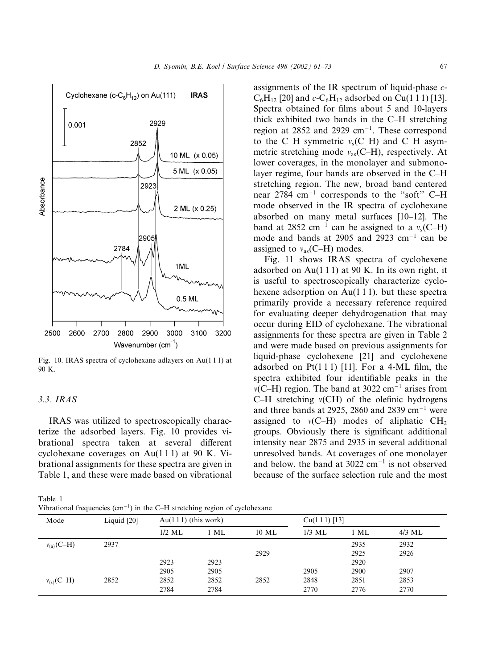

Fig. 10. IRAS spectra of cyclohexane adlayers on Au(1 1 1) at 90 K.

## 3.3. IRAS

IRAS was utilized to spectroscopically characterize the adsorbed layers. Fig. 10 provides vibrational spectra taken at several different cyclohexane coverages on  $Au(111)$  at 90 K. Vibrational assignments for these spectra are given in Table 1, and these were made based on vibrational

Table 1

| Vibrational frequencies $(cm-1)$ in the C-H stretching region of cyclohexane |  |  |
|------------------------------------------------------------------------------|--|--|
|------------------------------------------------------------------------------|--|--|

assignments of the IR spectrum of liquid-phase c- $C_6H_{12}$  [20] and  $c$ - $C_6H_{12}$  adsorbed on Cu(1 1 1) [13]. Spectra obtained for films about 5 and 10-layers thick exhibited two bands in the C–H stretching region at  $2852$  and  $2929 \text{ cm}^{-1}$ . These correspond to the C–H symmetric  $v_s$ (C–H) and C–H asymmetric stretching mode  $v_{as}(C-H)$ , respectively. At lower coverages, in the monolayer and submonolayer regime, four bands are observed in the C–H stretching region. The new, broad band centered near 2784 cm-<sup>1</sup> corresponds to the ''soft'' C–H mode observed in the IR spectra of cyclohexane absorbed on many metal surfaces [10–12]. The band at 2852 cm<sup>-1</sup> can be assigned to a  $v_s$ (C-H) mode and bands at 2905 and 2923  $\text{cm}^{-1}$  can be assigned to  $v_{as}(C-H)$  modes.

Fig. 11 shows IRAS spectra of cyclohexene adsorbed on Au $(1 1 1)$  at 90 K. In its own right, it is useful to spectroscopically characterize cyclohexene adsorption on Au(111), but these spectra primarily provide a necessary reference required for evaluating deeper dehydrogenation that may occur during EID of cyclohexane. The vibrational assignments for these spectra are given in Table 2 and were made based on previous assignments for liquid-phase cyclohexene [21] and cyclohexene adsorbed on  $Pt(1\ 1\ 1)$  [11]. For a 4-ML film, the spectra exhibited four identifiable peaks in the  $v(C-H)$  region. The band at 3022 cm<sup>-1</sup> arises from C–H stretching  $v(CH)$  of the olefinic hydrogens and three bands at 2925, 2860 and 2839  $\rm cm^{-1}$  were assigned to  $v(C-H)$  modes of aliphatic CH<sub>2</sub> groups. Obviously there is significant additional intensity near 2875 and 2935 in several additional unresolved bands. At coverages of one monolayer and below, the band at  $3022 \text{ cm}^{-1}$  is not observed because of the surface selection rule and the most

| Mode           | Liquid [20] | $Au(111)$ (this work) |      |       | $Cu(111)$ [13] |        |          |
|----------------|-------------|-----------------------|------|-------|----------------|--------|----------|
|                |             | $1/2$ ML              | 1 ML | 10 ML | $1/3$ ML       | $1$ ML | $4/3$ ML |
| $v_{(a)}(C-H)$ | 2937        |                       |      |       |                | 2935   | 2932     |
|                |             |                       |      | 2929  |                | 2925   | 2926     |
|                |             | 2923                  | 2923 |       |                | 2920   |          |
|                |             | 2905                  | 2905 |       | 2905           | 2900   | 2907     |
| $v_{(s)}(C-H)$ | 2852        | 2852                  | 2852 | 2852  | 2848           | 2851   | 2853     |
|                |             | 2784                  | 2784 |       | 2770           | 2776   | 2770     |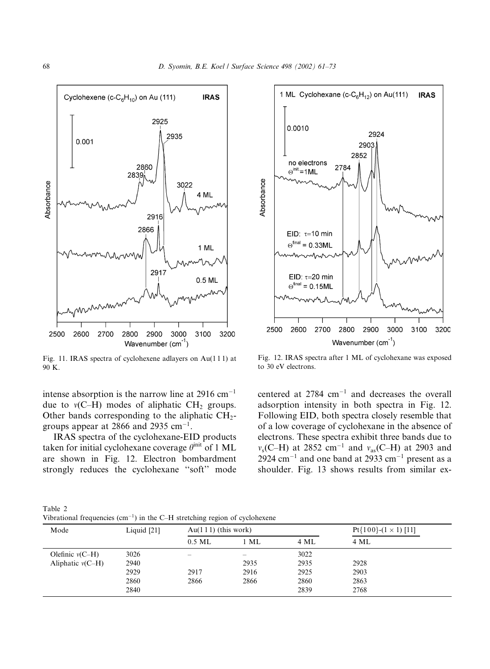

Fig. 11. IRAS spectra of cyclohexene adlayers on Au(1 1 1) at 90 K.

intense absorption is the narrow line at  $2916 \text{ cm}^{-1}$ due to  $v(C-H)$  modes of aliphatic  $CH<sub>2</sub>$  groups. Other bands corresponding to the aliphatic  $CH<sub>2</sub>$ groups appear at 2866 and 2935  $cm^{-1}$ .

IRAS spectra of the cyclohexane-EID products taken for initial cyclohexane coverage  $\theta^{\text{init}}$  of 1 ML are shown in Fig. 12. Electron bombardment strongly reduces the cyclohexane ''soft'' mode



Fig. 12. IRAS spectra after 1 ML of cyclohexane was exposed to 30 eV electrons.

centered at  $2784 \text{ cm}^{-1}$  and decreases the overall adsorption intensity in both spectra in Fig. 12. Following EID, both spectra closely resemble that of a low coverage of cyclohexane in the absence of electrons. These spectra exhibit three bands due to  $v_s$ (C–H) at 2852 cm<sup>-1</sup> and  $v_{as}$ (C–H) at 2903 and 2924 cm<sup>-1</sup> and one band at 2933 cm<sup>-1</sup> present as a shoulder. Fig. 13 shows results from similar ex-

Table 2 Vibrational frequencies  $(cm<sup>-1</sup>)$  in the C-H stretching region of cyclohexene

| Mode               | Liquid $[21]$ | $Au(111)$ (this work) |                          |      | Pt{100}- $(1 \times 1)$ [11] |
|--------------------|---------------|-----------------------|--------------------------|------|------------------------------|
|                    |               | $0.5$ ML              | $1$ ML                   | 4 ML | 4 ML                         |
| Olefinic $v(C-H)$  | 3026          | $\hspace{0.05cm}$     | $\overline{\phantom{a}}$ | 3022 |                              |
| Aliphatic $v(C-H)$ | 2940          |                       | 2935                     | 2935 | 2928                         |
|                    | 2929          | 2917                  | 2916                     | 2925 | 2903                         |
|                    | 2860          | 2866                  | 2866                     | 2860 | 2863                         |
|                    | 2840          |                       |                          | 2839 | 2768                         |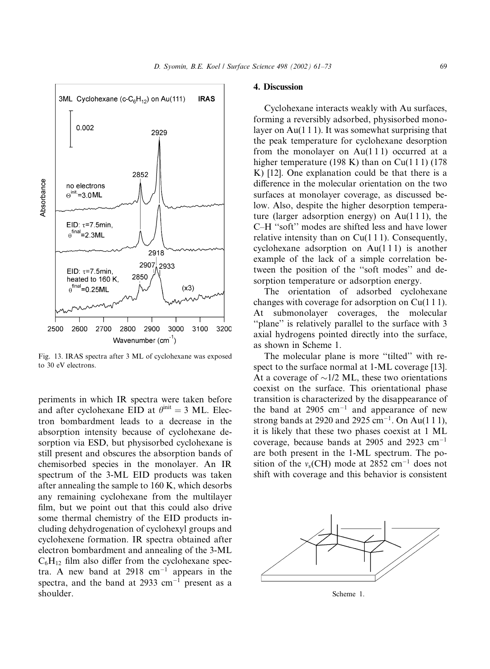

Fig. 13. IRAS spectra after 3 ML of cyclohexane was exposed to 30 eV electrons.

periments in which IR spectra were taken before and after cyclohexane EID at  $\theta^{\text{init}} = 3$  ML. Electron bombardment leads to a decrease in the absorption intensity because of cyclohexane desorption via ESD, but physisorbed cyclohexane is still present and obscures the absorption bands of chemisorbed species in the monolayer. An IR spectrum of the 3-ML EID products was taken after annealing the sample to 160 K, which desorbs any remaining cyclohexane from the multilayer film, but we point out that this could also drive some thermal chemistry of the EID products including dehydrogenation of cyclohexyl groups and cyclohexene formation. IR spectra obtained after electron bombardment and annealing of the 3-ML  $C_6H_{12}$  film also differ from the cyclohexane spectra. A new band at  $2918 \text{ cm}^{-1}$  appears in the spectra, and the band at  $2933 \text{ cm}^{-1}$  present as a shoulder.

## 4. Discussion

Cyclohexane interacts weakly with Au surfaces, forming a reversibly adsorbed, physisorbed monolayer on Au(1 1 1). It was somewhat surprising that the peak temperature for cyclohexane desorption from the monolayer on  $Au(111)$  occurred at a higher temperature (198 K) than on  $Cu(111)$  (178 K) [12]. One explanation could be that there is a difference in the molecular orientation on the two surfaces at monolayer coverage, as discussed below. Also, despite the higher desorption temperature (larger adsorption energy) on Au(1 1 1), the C–H ''soft'' modes are shifted less and have lower relative intensity than on  $Cu(111)$ . Consequently, cyclohexane adsorption on  $Au(111)$  is another example of the lack of a simple correlation between the position of the ''soft modes'' and desorption temperature or adsorption energy.

The orientation of adsorbed cyclohexane changes with coverage for adsorption on Cu(1 1 1). At submonolayer coverages, the molecular "plane" is relatively parallel to the surface with 3 axial hydrogens pointed directly into the surface, as shown in Scheme 1.

The molecular plane is more "tilted" with respect to the surface normal at 1-ML coverage [13]. At a coverage of  $\sim$ 1/2 ML, these two orientations coexist on the surface. This orientational phase transition is characterized by the disappearance of the band at  $2905 \text{ cm}^{-1}$  and appearance of new strong bands at 2920 and 2925 cm-1. On Au(1 1 1), it is likely that these two phases coexist at 1 ML coverage, because bands at 2905 and 2923  $cm^{-1}$ are both present in the 1-ML spectrum. The position of the  $v_s$ (CH) mode at 2852 cm<sup>-1</sup> does not shift with coverage and this behavior is consistent



Scheme 1.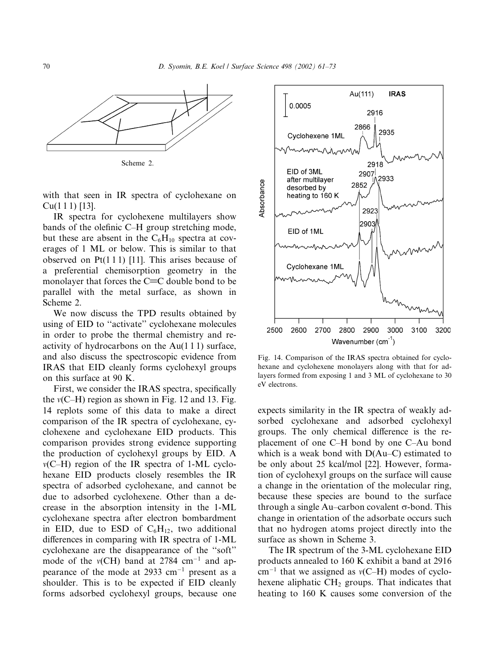

Scheme 2.

with that seen in IR spectra of cyclohexane on Cu(1 1 1) [13].

IR spectra for cyclohexene multilayers show bands of the olefinic C–H group stretching mode, but these are absent in the  $C_6H_{10}$  spectra at coverages of 1 ML or below. This is similar to that observed on  $Pt(1\ 1\ 1)$  [11]. This arises because of a preferential chemisorption geometry in the monolayer that forces the  $C=C$  double bond to be parallel with the metal surface, as shown in Scheme 2.

We now discuss the TPD results obtained by using of EID to ''activate'' cyclohexane molecules in order to probe the thermal chemistry and reactivity of hydrocarbons on the  $Au(111)$  surface, and also discuss the spectroscopic evidence from IRAS that EID cleanly forms cyclohexyl groups on this surface at 90 K.

First, we consider the IRAS spectra, specifically the  $v(C-H)$  region as shown in Fig. 12 and 13. Fig. 14 replots some of this data to make a direct comparison of the IR spectra of cyclohexane, cyclohexene and cyclohexane EID products. This comparison provides strong evidence supporting the production of cyclohexyl groups by EID. A  $v(C-H)$  region of the IR spectra of 1-ML cyclohexane EID products closely resembles the IR spectra of adsorbed cyclohexane, and cannot be due to adsorbed cyclohexene. Other than a decrease in the absorption intensity in the 1-ML cyclohexane spectra after electron bombardment in EID, due to ESD of  $C_6H_{12}$ , two additional differences in comparing with IR spectra of 1-ML cyclohexane are the disappearance of the ''soft'' mode of the  $v(CH)$  band at 2784 cm<sup>-1</sup> and appearance of the mode at  $2933 \text{ cm}^{-1}$  present as a shoulder. This is to be expected if EID cleanly forms adsorbed cyclohexyl groups, because one



Fig. 14. Comparison of the IRAS spectra obtained for cyclohexane and cyclohexene monolayers along with that for adlayers formed from exposing 1 and 3 ML of cyclohexane to 30 eV electrons.

expects similarity in the IR spectra of weakly adsorbed cyclohexane and adsorbed cyclohexyl groups. The only chemical difference is the replacement of one C–H bond by one C–Au bond which is a weak bond with D(Au–C) estimated to be only about 25 kcal/mol [22]. However, formation of cyclohexyl groups on the surface will cause a change in the orientation of the molecular ring, because these species are bound to the surface through a single Au–carbon covalent  $\sigma$ -bond. This change in orientation of the adsorbate occurs such that no hydrogen atoms project directly into the surface as shown in Scheme 3.

The IR spectrum of the 3-ML cyclohexane EID products annealed to 160 K exhibit a band at 2916  $cm^{-1}$  that we assigned as  $v(C-H)$  modes of cyclohexene aliphatic  $CH<sub>2</sub>$  groups. That indicates that heating to 160 K causes some conversion of the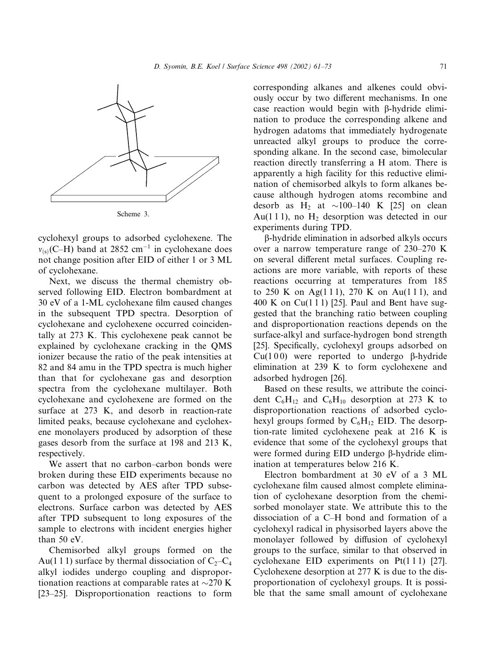

cyclohexyl groups to adsorbed cyclohexene. The  $v_{(s)}(C-H)$  band at 2852 cm<sup>-1</sup> in cyclohexane does not change position after EID of either 1 or 3 ML of cyclohexane.

Next, we discuss the thermal chemistry observed following EID. Electron bombardment at 30 eV of a 1-ML cyclohexane filmcaused changes in the subsequent TPD spectra. Desorption of cyclohexane and cyclohexene occurred coincidentally at 273 K. This cyclohexene peak cannot be explained by cyclohexane cracking in the QMS ionizer because the ratio of the peak intensities at 82 and 84 amu in the TPD spectra is much higher than that for cyclohexane gas and desorption spectra from the cyclohexane multilayer. Both cyclohexane and cyclohexene are formed on the surface at 273 K, and desorb in reaction-rate limited peaks, because cyclohexane and cyclohexene monolayers produced by adsorption of these gases desorb from the surface at 198 and 213 K, respectively.

We assert that no carbon–carbon bonds were broken during these EID experiments because no carbon was detected by AES after TPD subsequent to a prolonged exposure of the surface to electrons. Surface carbon was detected by AES after TPD subsequent to long exposures of the sample to electrons with incident energies higher than 50 eV.

Chemisorbed alkyl groups formed on the Au(1 1 1) surface by thermal dissociation of  $C_2-C_4$ alkyl iodides undergo coupling and disproportionation reactions at comparable rates at  $\sim$ 270 K [23–25]. Disproportionation reactions to form

corresponding alkanes and alkenes could obviously occur by two different mechanisms. In one case reaction would begin with  $\beta$ -hydride elimination to produce the corresponding alkene and hydrogen adatoms that immediately hydrogenate unreacted alkyl groups to produce the corresponding alkane. In the second case, bimolecular reaction directly transferring a H atom. There is apparently a high facility for this reductive elimination of chemisorbed alkyls to form alkanes because although hydrogen atoms recombine and desorb as  $H_2$  at  $\sim$ 100–140 K [25] on clean Au(111), no  $H_2$  desorption was detected in our experiments during TPD.

b-hydride elimination in adsorbed alkyls occurs over a narrow temperature range of 230–270 K on several different metal surfaces. Coupling reactions are more variable, with reports of these reactions occurring at temperatures from 185 to 250 K on Ag(1 1 1), 270 K on Au(1 1 1), and 400 K on Cu(111) [25]. Paul and Bent have suggested that the branching ratio between coupling and disproportionation reactions depends on the surface-alkyl and surface-hydrogen bond strength [25]. Specifically, cyclohexyl groups adsorbed on Cu(100) were reported to undergo  $\beta$ -hydride elimination at 239 K to form cyclohexene and adsorbed hydrogen [26].

Based on these results, we attribute the coincident  $C_6H_{12}$  and  $C_6H_{10}$  desorption at 273 K to disproportionation reactions of adsorbed cyclohexyl groups formed by  $C_6H_{12}$  EID. The desorption-rate limited cyclohexene peak at 216 K is evidence that some of the cyclohexyl groups that were formed during EID undergo β-hydride elimination at temperatures below 216 K.

Electron bombardment at 30 eV of a 3 ML cyclohexane film caused almost complete elimination of cyclohexane desorption from the chemisorbed monolayer state. We attribute this to the dissociation of a C–H bond and formation of a cyclohexyl radical in physisorbed layers above the monolayer followed by diffusion of cyclohexyl groups to the surface, similar to that observed in cyclohexane EID experiments on  $Pt(1\ 1\ 1)$  [27]. Cyclohexene desorption at 277 K is due to the disproportionation of cyclohexyl groups. It is possible that the same small amount of cyclohexane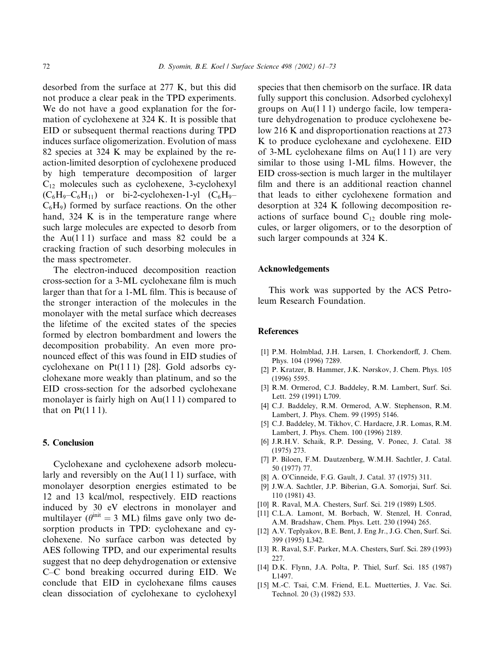desorbed from the surface at 277 K, but this did not produce a clear peak in the TPD experiments. We do not have a good explanation for the formation of cyclohexene at 324 K. It is possible that EID or subsequent thermal reactions during TPD induces surface oligomerization. Evolution of mass 82 species at 324 K may be explained by the reaction-limited desorption of cyclohexene produced by high temperature decomposition of larger  $C_{12}$  molecules such as cyclohexene, 3-cyclohexyl  $(C_6H_9-C_6H_{11})$  or bi-2-cyclohexen-1-yl  $(C_6H_9 C_6H_9$ ) formed by surface reactions. On the other hand, 324 K is in the temperature range where such large molecules are expected to desorb from the Au( $111$ ) surface and mass 82 could be a cracking fraction of such desorbing molecules in the mass spectrometer.

The electron-induced decomposition reaction cross-section for a 3-ML cyclohexane filmis much larger than that for a 1-ML film. This is because of the stronger interaction of the molecules in the monolayer with the metal surface which decreases the lifetime of the excited states of the species formed by electron bombardment and lowers the decomposition probability. An even more pronounced effect of this was found in EID studies of cyclohexane on  $Pt(1\ 1\ 1)$  [28]. Gold adsorbs cyclohexane more weakly than platinum, and so the EID cross-section for the adsorbed cyclohexane monolayer is fairly high on Au(111) compared to that on  $Pt(111)$ .

## 5. Conclusion

Cyclohexane and cyclohexene adsorb molecularly and reversibly on the  $Au(111)$  surface, with monolayer desorption energies estimated to be 12 and 13 kcal/mol, respectively. EID reactions induced by 30 eV electrons in monolayer and multilayer ( $\theta^{\text{init}} = 3$  ML) films gave only two desorption products in TPD: cyclohexane and cyclohexene. No surface carbon was detected by AES following TPD, and our experimental results suggest that no deep dehydrogenation or extensive C–C bond breaking occurred during EID. We conclude that EID in cyclohexane films causes clean dissociation of cyclohexane to cyclohexyl species that then chemisorb on the surface. IR data fully support this conclusion. Adsorbed cyclohexyl groups on Au(1 1 1) undergo facile, low temperature dehydrogenation to produce cyclohexene below 216 K and disproportionation reactions at 273 K to produce cyclohexane and cyclohexene. EID of 3-ML cyclohexane films on  $Au(111)$  are very similar to those using 1-ML films. However, the EID cross-section is much larger in the multilayer film and there is an additional reaction channel that leads to either cyclohexene formation and desorption at 324 K following decomposition reactions of surface bound  $C_{12}$  double ring molecules, or larger oligomers, or to the desorption of such larger compounds at 324 K.

#### Acknowledgements

This work was supported by the ACS Petroleum Research Foundation.

#### **References**

- [1] P.M. Holmblad, J.H. Larsen, I. Chorkendorff, J. Chem. Phys. 104 (1996) 7289.
- [2] P. Kratzer, B. Hammer, J.K. Nørskov, J. Chem. Phys. 105 (1996) 5595.
- [3] R.M. Ormerod, C.J. Baddeley, R.M. Lambert, Surf. Sci. Lett. 259 (1991) L709.
- [4] C.J. Baddeley, R.M. Ormerod, A.W. Stephenson, R.M. Lambert, J. Phys. Chem. 99 (1995) 5146.
- [5] C.J. Baddeley, M. Tikhov, C. Hardacre, J.R. Lomas, R.M. Lambert, J. Phys. Chem. 100 (1996) 2189.
- [6] J.R.H.V. Schaik, R.P. Dessing, V. Ponec, J. Catal. 38 (1975) 273.
- [7] P. Biloen, F.M. Dautzenberg, W.M.H. Sachtler, J. Catal. 50 (1977) 77.
- [8] A. O'Cinneide, F.G. Gault, J. Catal. 37 (1975) 311.
- [9] J.W.A. Sachtler, J.P. Biberian, G.A. Somorjai, Surf. Sci. 110 (1981) 43.
- [10] R. Raval, M.A. Chesters, Surf. Sci. 219 (1989) L505.
- [11] C.L.A. Lamont, M. Borbach, W. Stenzel, H. Conrad, A.M. Bradshaw, Chem. Phys. Lett. 230 (1994) 265.
- [12] A.V. Teplyakov, B.E. Bent, J. Eng Jr., J.G. Chen, Surf. Sci. 399 (1995) L342.
- [13] R. Raval, S.F. Parker, M.A. Chesters, Surf. Sci. 289 (1993) 227.
- [14] D.K. Flynn, J.A. Polta, P. Thiel, Surf. Sci. 185 (1987) L1497.
- [15] M.-C. Tsai, C.M. Friend, E.L. Muetterties, J. Vac. Sci. Technol. 20 (3) (1982) 533.